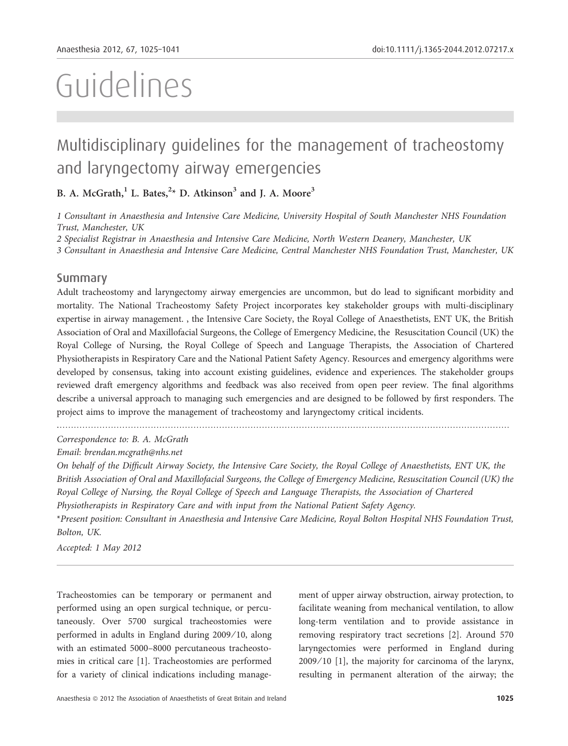# Guidelines

## Multidisciplinary guidelines for the management of tracheostomy and laryngectomy airway emergencies

B. A. McGrath,<sup>1</sup> L. Bates,<sup>2</sup>\* D. Atkinson<sup>3</sup> and J. A. Moore<sup>3</sup>

1 Consultant in Anaesthesia and Intensive Care Medicine, University Hospital of South Manchester NHS Foundation Trust, Manchester, UK

2 Specialist Registrar in Anaesthesia and Intensive Care Medicine, North Western Deanery, Manchester, UK

3 Consultant in Anaesthesia and Intensive Care Medicine, Central Manchester NHS Foundation Trust, Manchester, UK

#### Summary

Adult tracheostomy and laryngectomy airway emergencies are uncommon, but do lead to significant morbidity and mortality. The National Tracheostomy Safety Project incorporates key stakeholder groups with multi-disciplinary expertise in airway management. , the Intensive Care Society, the Royal College of Anaesthetists, ENT UK, the British Association of Oral and Maxillofacial Surgeons, the College of Emergency Medicine, the Resuscitation Council (UK) the Royal College of Nursing, the Royal College of Speech and Language Therapists, the Association of Chartered Physiotherapists in Respiratory Care and the National Patient Safety Agency. Resources and emergency algorithms were developed by consensus, taking into account existing guidelines, evidence and experiences. The stakeholder groups reviewed draft emergency algorithms and feedback was also received from open peer review. The final algorithms describe a universal approach to managing such emergencies and are designed to be followed by first responders. The project aims to improve the management of tracheostomy and laryngectomy critical incidents.

Correspondence to: B. A. McGrath

Email: brendan.mcgrath@nhs.net

On behalf of the Difficult Airway Society, the Intensive Care Society, the Royal College of Anaesthetists, ENT UK, the British Association of Oral and Maxillofacial Surgeons, the College of Emergency Medicine, Resuscitation Council (UK) the Royal College of Nursing, the Royal College of Speech and Language Therapists, the Association of Chartered Physiotherapists in Respiratory Care and with input from the National Patient Safety Agency.

\*Present position: Consultant in Anaesthesia and Intensive Care Medicine, Royal Bolton Hospital NHS Foundation Trust, Bolton, UK.

Accepted: 1 May 2012

Tracheostomies can be temporary or permanent and performed using an open surgical technique, or percutaneously. Over 5700 surgical tracheostomies were performed in adults in England during 2009 ⁄ 10, along with an estimated 5000–8000 percutaneous tracheostomies in critical care [1]. Tracheostomies are performed for a variety of clinical indications including manage-

ment of upper airway obstruction, airway protection, to facilitate weaning from mechanical ventilation, to allow long-term ventilation and to provide assistance in removing respiratory tract secretions [2]. Around 570 laryngectomies were performed in England during 2009 ⁄ 10 [1], the majority for carcinoma of the larynx, resulting in permanent alteration of the airway; the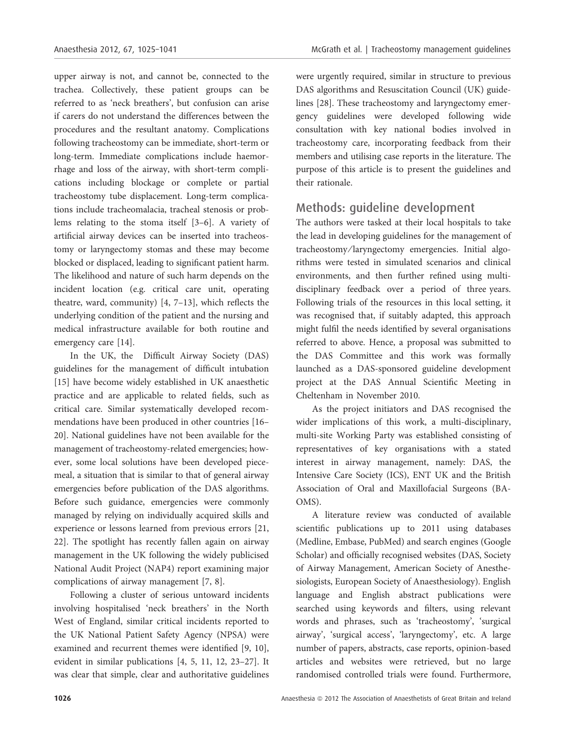upper airway is not, and cannot be, connected to the trachea. Collectively, these patient groups can be referred to as 'neck breathers', but confusion can arise if carers do not understand the differences between the procedures and the resultant anatomy. Complications following tracheostomy can be immediate, short-term or long-term. Immediate complications include haemorrhage and loss of the airway, with short-term complications including blockage or complete or partial tracheostomy tube displacement. Long-term complications include tracheomalacia, tracheal stenosis or problems relating to the stoma itself [3–6]. A variety of artificial airway devices can be inserted into tracheostomy or laryngectomy stomas and these may become blocked or displaced, leading to significant patient harm. The likelihood and nature of such harm depends on the incident location (e.g. critical care unit, operating theatre, ward, community) [4, 7–13], which reflects the underlying condition of the patient and the nursing and medical infrastructure available for both routine and emergency care [14].

In the UK, the Difficult Airway Society (DAS) guidelines for the management of difficult intubation [15] have become widely established in UK anaesthetic practice and are applicable to related fields, such as critical care. Similar systematically developed recommendations have been produced in other countries [16– 20]. National guidelines have not been available for the management of tracheostomy-related emergencies; however, some local solutions have been developed piecemeal, a situation that is similar to that of general airway emergencies before publication of the DAS algorithms. Before such guidance, emergencies were commonly managed by relying on individually acquired skills and experience or lessons learned from previous errors [21, 22]. The spotlight has recently fallen again on airway management in the UK following the widely publicised National Audit Project (NAP4) report examining major complications of airway management [7, 8].

Following a cluster of serious untoward incidents involving hospitalised 'neck breathers' in the North West of England, similar critical incidents reported to the UK National Patient Safety Agency (NPSA) were examined and recurrent themes were identified [9, 10], evident in similar publications [4, 5, 11, 12, 23–27]. It was clear that simple, clear and authoritative guidelines

were urgently required, similar in structure to previous DAS algorithms and Resuscitation Council (UK) guidelines [28]. These tracheostomy and laryngectomy emergency guidelines were developed following wide consultation with key national bodies involved in tracheostomy care, incorporating feedback from their members and utilising case reports in the literature. The purpose of this article is to present the guidelines and their rationale.

## Methods: guideline development

The authors were tasked at their local hospitals to take the lead in developing guidelines for the management of tracheostomy ⁄ laryngectomy emergencies. Initial algorithms were tested in simulated scenarios and clinical environments, and then further refined using multidisciplinary feedback over a period of three years. Following trials of the resources in this local setting, it was recognised that, if suitably adapted, this approach might fulfil the needs identified by several organisations referred to above. Hence, a proposal was submitted to the DAS Committee and this work was formally launched as a DAS-sponsored guideline development project at the DAS Annual Scientific Meeting in Cheltenham in November 2010.

As the project initiators and DAS recognised the wider implications of this work, a multi-disciplinary, multi-site Working Party was established consisting of representatives of key organisations with a stated interest in airway management, namely: DAS, the Intensive Care Society (ICS), ENT UK and the British Association of Oral and Maxillofacial Surgeons (BA-OMS).

A literature review was conducted of available scientific publications up to 2011 using databases (Medline, Embase, PubMed) and search engines (Google Scholar) and officially recognised websites (DAS, Society of Airway Management, American Society of Anesthesiologists, European Society of Anaesthesiology). English language and English abstract publications were searched using keywords and filters, using relevant words and phrases, such as 'tracheostomy', 'surgical airway', 'surgical access', 'laryngectomy', etc. A large number of papers, abstracts, case reports, opinion-based articles and websites were retrieved, but no large randomised controlled trials were found. Furthermore,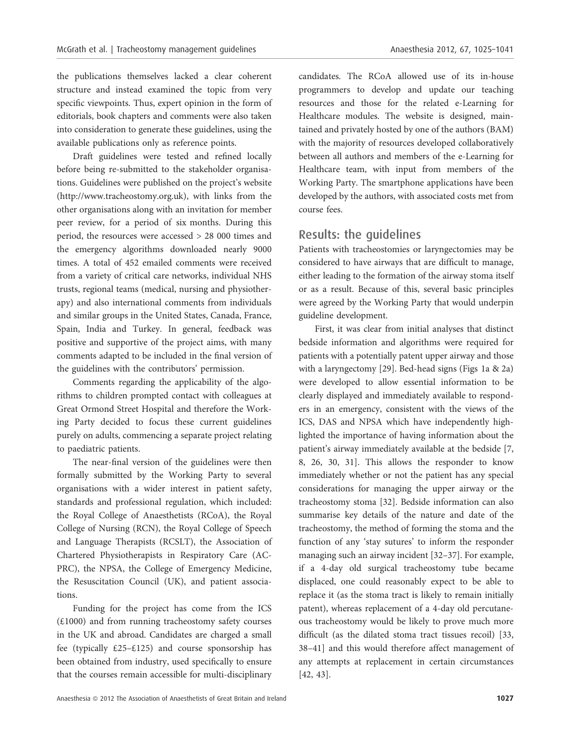the publications themselves lacked a clear coherent structure and instead examined the topic from very specific viewpoints. Thus, expert opinion in the form of editorials, book chapters and comments were also taken into consideration to generate these guidelines, using the available publications only as reference points.

Draft guidelines were tested and refined locally before being re-submitted to the stakeholder organisations. Guidelines were published on the project's website (http://www.tracheostomy.org.uk), with links from the other organisations along with an invitation for member peer review, for a period of six months. During this period, the resources were accessed > 28 000 times and the emergency algorithms downloaded nearly 9000 times. A total of 452 emailed comments were received from a variety of critical care networks, individual NHS trusts, regional teams (medical, nursing and physiotherapy) and also international comments from individuals and similar groups in the United States, Canada, France, Spain, India and Turkey. In general, feedback was positive and supportive of the project aims, with many comments adapted to be included in the final version of the guidelines with the contributors' permission.

Comments regarding the applicability of the algorithms to children prompted contact with colleagues at Great Ormond Street Hospital and therefore the Working Party decided to focus these current guidelines purely on adults, commencing a separate project relating to paediatric patients.

The near-final version of the guidelines were then formally submitted by the Working Party to several organisations with a wider interest in patient safety, standards and professional regulation, which included: the Royal College of Anaesthetists (RCoA), the Royal College of Nursing (RCN), the Royal College of Speech and Language Therapists (RCSLT), the Association of Chartered Physiotherapists in Respiratory Care (AC-PRC), the NPSA, the College of Emergency Medicine, the Resuscitation Council (UK), and patient associations.

Funding for the project has come from the ICS (£1000) and from running tracheostomy safety courses in the UK and abroad. Candidates are charged a small fee (typically £25–£125) and course sponsorship has been obtained from industry, used specifically to ensure that the courses remain accessible for multi-disciplinary

candidates. The RCoA allowed use of its in-house programmers to develop and update our teaching resources and those for the related e-Learning for Healthcare modules. The website is designed, maintained and privately hosted by one of the authors (BAM) with the majority of resources developed collaboratively between all authors and members of the e-Learning for Healthcare team, with input from members of the Working Party. The smartphone applications have been developed by the authors, with associated costs met from course fees.

## Results: the guidelines

Patients with tracheostomies or laryngectomies may be considered to have airways that are difficult to manage, either leading to the formation of the airway stoma itself or as a result. Because of this, several basic principles were agreed by the Working Party that would underpin guideline development.

First, it was clear from initial analyses that distinct bedside information and algorithms were required for patients with a potentially patent upper airway and those with a laryngectomy [29]. Bed-head signs (Figs 1a & 2a) were developed to allow essential information to be clearly displayed and immediately available to responders in an emergency, consistent with the views of the ICS, DAS and NPSA which have independently highlighted the importance of having information about the patient's airway immediately available at the bedside [7, 8, 26, 30, 31]. This allows the responder to know immediately whether or not the patient has any special considerations for managing the upper airway or the tracheostomy stoma [32]. Bedside information can also summarise key details of the nature and date of the tracheostomy, the method of forming the stoma and the function of any 'stay sutures' to inform the responder managing such an airway incident [32–37]. For example, if a 4-day old surgical tracheostomy tube became displaced, one could reasonably expect to be able to replace it (as the stoma tract is likely to remain initially patent), whereas replacement of a 4-day old percutaneous tracheostomy would be likely to prove much more difficult (as the dilated stoma tract tissues recoil) [33, 38–41] and this would therefore affect management of any attempts at replacement in certain circumstances [42, 43].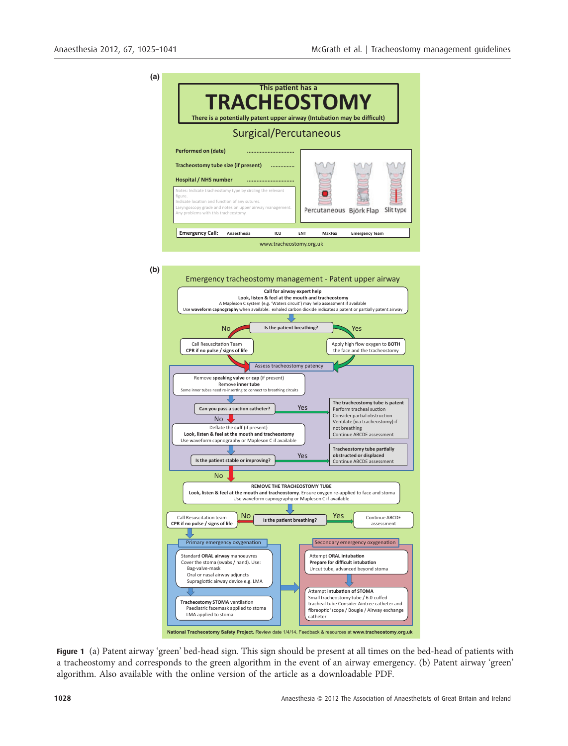**(a)**

|                                                                                                                                                                                                                                                                                                                    | <b>TRACHEOSTOMY</b><br>There is a potentially patent upper airway (Intubation may be difficult) | This patient has a      |            |                         |                       |           |
|--------------------------------------------------------------------------------------------------------------------------------------------------------------------------------------------------------------------------------------------------------------------------------------------------------------------|-------------------------------------------------------------------------------------------------|-------------------------|------------|-------------------------|-----------------------|-----------|
|                                                                                                                                                                                                                                                                                                                    |                                                                                                 | Surgical/Percutaneous   |            |                         |                       |           |
| Performed on (date)<br>Tracheostomy tube size (if present)<br>Hospital / NHS number<br>Notes: Indicate tracheostomy type by circling the relevant<br>figure.<br>Indicate location and function of any sutures.<br>Laryngoscopy grade and notes on upper airway management.<br>Any problems with this tracheostomy. |                                                                                                 |                         |            | Percutaneous Björk Flap |                       | Slit type |
| <b>Emergency Call:</b>                                                                                                                                                                                                                                                                                             | Anaesthesia                                                                                     | ICU                     | <b>ENT</b> | <b>MaxFax</b>           | <b>Emergency Team</b> |           |
|                                                                                                                                                                                                                                                                                                                    |                                                                                                 | www.tracheostomy.org.uk |            |                         |                       |           |



Figure 1 (a) Patent airway 'green' bed-head sign. This sign should be present at all times on the bed-head of patients with a tracheostomy and corresponds to the green algorithm in the event of an airway emergency. (b) Patent airway 'green' algorithm. Also available with the online version of the article as a downloadable PDF.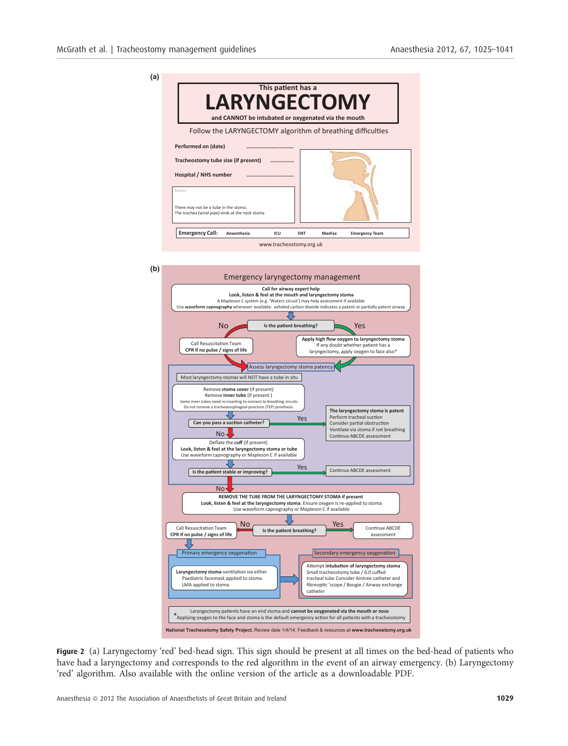**(a)**

| This patient has a<br><b>LARYNGECTOMY</b><br>and CANNOT be intubated or oxygenated via the mouth  |                                               |
|---------------------------------------------------------------------------------------------------|-----------------------------------------------|
| Follow the LARYNGECTOMY algorithm of breathing difficulties                                       |                                               |
| Performed on (date)                                                                               |                                               |
| Tracheostomy tube size (if present)<br>Hospital / NHS number                                      |                                               |
| Notes:<br>There may not be a tube in the stoma.<br>The trachea (wind pipe) ends at the neck stoma |                                               |
| <b>Emergency Call:</b><br>Anaesthesia<br>ICU                                                      | <b>ENT</b><br><b>Emergency Team</b><br>MaxFax |
| www.tracheostomy.org.uk                                                                           |                                               |
|                                                                                                   |                                               |
|                                                                                                   |                                               |



Figure 2 (a) Laryngectomy 'red' bed-head sign. This sign should be present at all times on the bed-head of patients who have had a laryngectomy and corresponds to the red algorithm in the event of an airway emergency. (b) Laryngectomy 'red' algorithm. Also available with the online version of the article as a downloadable PDF.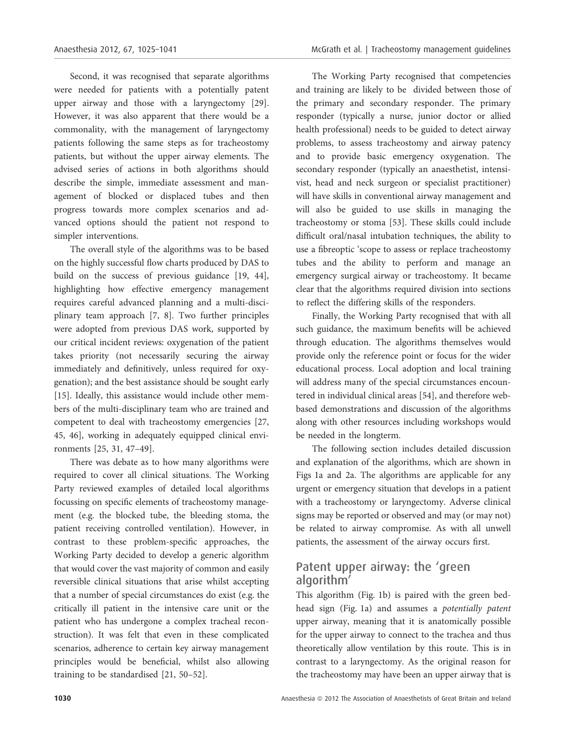Second, it was recognised that separate algorithms were needed for patients with a potentially patent upper airway and those with a laryngectomy [29]. However, it was also apparent that there would be a commonality, with the management of laryngectomy patients following the same steps as for tracheostomy patients, but without the upper airway elements. The advised series of actions in both algorithms should describe the simple, immediate assessment and management of blocked or displaced tubes and then progress towards more complex scenarios and advanced options should the patient not respond to simpler interventions.

The overall style of the algorithms was to be based on the highly successful flow charts produced by DAS to build on the success of previous guidance [19, 44], highlighting how effective emergency management requires careful advanced planning and a multi-disciplinary team approach [7, 8]. Two further principles were adopted from previous DAS work, supported by our critical incident reviews: oxygenation of the patient takes priority (not necessarily securing the airway immediately and definitively, unless required for oxygenation); and the best assistance should be sought early [15]. Ideally, this assistance would include other members of the multi-disciplinary team who are trained and competent to deal with tracheostomy emergencies [27, 45, 46], working in adequately equipped clinical environments [25, 31, 47–49].

There was debate as to how many algorithms were required to cover all clinical situations. The Working Party reviewed examples of detailed local algorithms focussing on specific elements of tracheostomy management (e.g. the blocked tube, the bleeding stoma, the patient receiving controlled ventilation). However, in contrast to these problem-specific approaches, the Working Party decided to develop a generic algorithm that would cover the vast majority of common and easily reversible clinical situations that arise whilst accepting that a number of special circumstances do exist (e.g. the critically ill patient in the intensive care unit or the patient who has undergone a complex tracheal reconstruction). It was felt that even in these complicated scenarios, adherence to certain key airway management principles would be beneficial, whilst also allowing training to be standardised [21, 50–52].

The Working Party recognised that competencies and training are likely to be divided between those of the primary and secondary responder. The primary responder (typically a nurse, junior doctor or allied health professional) needs to be guided to detect airway problems, to assess tracheostomy and airway patency and to provide basic emergency oxygenation. The secondary responder (typically an anaesthetist, intensivist, head and neck surgeon or specialist practitioner) will have skills in conventional airway management and will also be guided to use skills in managing the tracheostomy or stoma [53]. These skills could include difficult oral/nasal intubation techniques, the ability to use a fibreoptic 'scope to assess or replace tracheostomy tubes and the ability to perform and manage an emergency surgical airway or tracheostomy. It became clear that the algorithms required division into sections to reflect the differing skills of the responders.

Finally, the Working Party recognised that with all such guidance, the maximum benefits will be achieved through education. The algorithms themselves would provide only the reference point or focus for the wider educational process. Local adoption and local training will address many of the special circumstances encountered in individual clinical areas [54], and therefore webbased demonstrations and discussion of the algorithms along with other resources including workshops would be needed in the longterm.

The following section includes detailed discussion and explanation of the algorithms, which are shown in Figs 1a and 2a. The algorithms are applicable for any urgent or emergency situation that develops in a patient with a tracheostomy or laryngectomy. Adverse clinical signs may be reported or observed and may (or may not) be related to airway compromise. As with all unwell patients, the assessment of the airway occurs first.

## Patent upper airway: the 'green algorithm'

This algorithm (Fig. 1b) is paired with the green bedhead sign (Fig. 1a) and assumes a potentially patent upper airway, meaning that it is anatomically possible for the upper airway to connect to the trachea and thus theoretically allow ventilation by this route. This is in contrast to a laryngectomy. As the original reason for the tracheostomy may have been an upper airway that is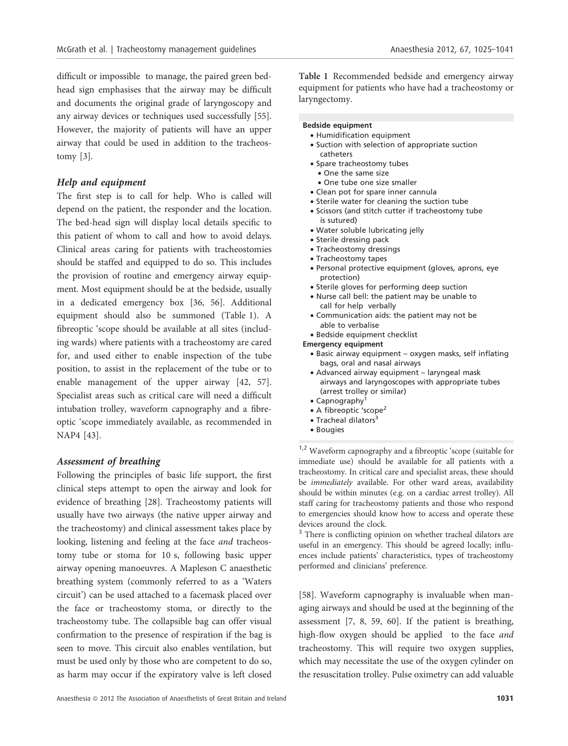difficult or impossible to manage, the paired green bedhead sign emphasises that the airway may be difficult and documents the original grade of laryngoscopy and any airway devices or techniques used successfully [55]. However, the majority of patients will have an upper airway that could be used in addition to the tracheostomy [3].

#### Help and equipment

The first step is to call for help. Who is called will depend on the patient, the responder and the location. The bed-head sign will display local details specific to this patient of whom to call and how to avoid delays. Clinical areas caring for patients with tracheostomies should be staffed and equipped to do so. This includes the provision of routine and emergency airway equipment. Most equipment should be at the bedside, usually in a dedicated emergency box [36, 56]. Additional equipment should also be summoned (Table 1). A fibreoptic 'scope should be available at all sites (including wards) where patients with a tracheostomy are cared for, and used either to enable inspection of the tube position, to assist in the replacement of the tube or to enable management of the upper airway [42, 57]. Specialist areas such as critical care will need a difficult intubation trolley, waveform capnography and a fibreoptic 'scope immediately available, as recommended in NAP4 [43].

#### Assessment of breathing

Following the principles of basic life support, the first clinical steps attempt to open the airway and look for evidence of breathing [28]. Tracheostomy patients will usually have two airways (the native upper airway and the tracheostomy) and clinical assessment takes place by looking, listening and feeling at the face and tracheostomy tube or stoma for 10 s, following basic upper airway opening manoeuvres. A Mapleson C anaesthetic breathing system (commonly referred to as a 'Waters circuit') can be used attached to a facemask placed over the face or tracheostomy stoma, or directly to the tracheostomy tube. The collapsible bag can offer visual confirmation to the presence of respiration if the bag is seen to move. This circuit also enables ventilation, but must be used only by those who are competent to do so, as harm may occur if the expiratory valve is left closed Table 1 Recommended bedside and emergency airway equipment for patients who have had a tracheostomy or laryngectomy.

#### Bedside equipment

- Humidification equipment
- Suction with selection of appropriate suction catheters
- Spare tracheostomy tubes
	- One the same size
- One tube one size smaller
- Clean pot for spare inner cannula
- Sterile water for cleaning the suction tube
- Scissors (and stitch cutter if tracheostomy tube is sutured)
- Water soluble lubricating jelly
- Sterile dressing pack
- Tracheostomy dressings
- Tracheostomy tapes
- Personal protective equipment (gloves, aprons, eye protection)
- Sterile gloves for performing deep suction
- Nurse call bell: the patient may be unable to call for help verbally
- Communication aids: the patient may not be able to verbalise
- Bedside equipment checklist
- Emergency equipment
	- Basic airway equipment oxygen masks, self inflating bags, oral and nasal airways
	- Advanced airway equipment laryngeal mask airways and laryngoscopes with appropriate tubes (arrest trolley or similar)
	- Capnography
	- $\bullet$  A fibreoptic 'scope<sup>2</sup>
	- $\bullet$  Tracheal dilators<sup>3</sup>
- Bougies

<sup>1,2</sup> Waveform capnography and a fibreoptic 'scope (suitable for immediate use) should be available for all patients with a tracheostomy. In critical care and specialist areas, these should be immediately available. For other ward areas, availability should be within minutes (e.g. on a cardiac arrest trolley). All staff caring for tracheostomy patients and those who respond to emergencies should know how to access and operate these devices around the clock.

<sup>3</sup> There is conflicting opinion on whether tracheal dilators are useful in an emergency. This should be agreed locally; influences include patients' characteristics, types of tracheostomy performed and clinicians' preference.

[58]. Waveform capnography is invaluable when managing airways and should be used at the beginning of the assessment [7, 8, 59, 60]. If the patient is breathing, high-flow oxygen should be applied to the face and tracheostomy. This will require two oxygen supplies, which may necessitate the use of the oxygen cylinder on the resuscitation trolley. Pulse oximetry can add valuable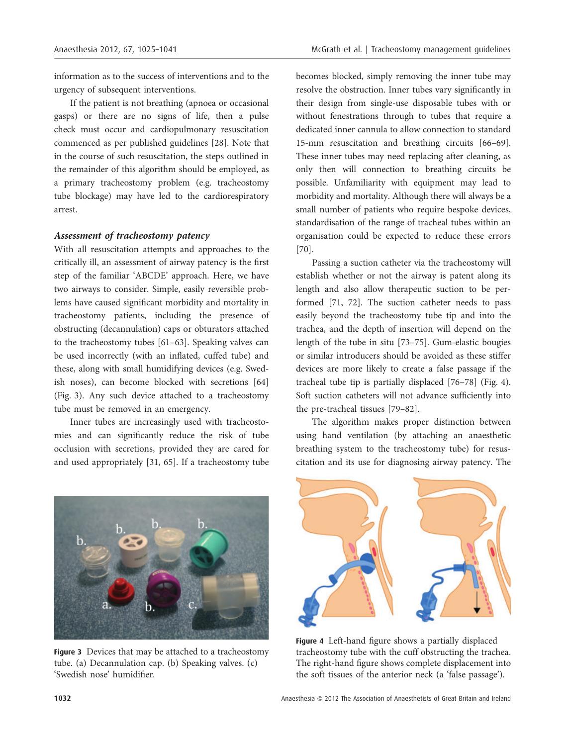information as to the success of interventions and to the urgency of subsequent interventions.

If the patient is not breathing (apnoea or occasional gasps) or there are no signs of life, then a pulse check must occur and cardiopulmonary resuscitation commenced as per published guidelines [28]. Note that in the course of such resuscitation, the steps outlined in the remainder of this algorithm should be employed, as a primary tracheostomy problem (e.g. tracheostomy tube blockage) may have led to the cardiorespiratory arrest.

#### Assessment of tracheostomy patency

With all resuscitation attempts and approaches to the critically ill, an assessment of airway patency is the first step of the familiar 'ABCDE' approach. Here, we have two airways to consider. Simple, easily reversible problems have caused significant morbidity and mortality in tracheostomy patients, including the presence of obstructing (decannulation) caps or obturators attached to the tracheostomy tubes [61–63]. Speaking valves can be used incorrectly (with an inflated, cuffed tube) and these, along with small humidifying devices (e.g. Swedish noses), can become blocked with secretions [64] (Fig. 3). Any such device attached to a tracheostomy tube must be removed in an emergency.

Inner tubes are increasingly used with tracheostomies and can significantly reduce the risk of tube occlusion with secretions, provided they are cared for and used appropriately [31, 65]. If a tracheostomy tube becomes blocked, simply removing the inner tube may resolve the obstruction. Inner tubes vary significantly in their design from single-use disposable tubes with or without fenestrations through to tubes that require a dedicated inner cannula to allow connection to standard 15-mm resuscitation and breathing circuits [66–69]. These inner tubes may need replacing after cleaning, as only then will connection to breathing circuits be possible. Unfamiliarity with equipment may lead to morbidity and mortality. Although there will always be a small number of patients who require bespoke devices, standardisation of the range of tracheal tubes within an organisation could be expected to reduce these errors [70].

Passing a suction catheter via the tracheostomy will establish whether or not the airway is patent along its length and also allow therapeutic suction to be performed [71, 72]. The suction catheter needs to pass easily beyond the tracheostomy tube tip and into the trachea, and the depth of insertion will depend on the length of the tube in situ [73–75]. Gum-elastic bougies or similar introducers should be avoided as these stiffer devices are more likely to create a false passage if the tracheal tube tip is partially displaced [76–78] (Fig. 4). Soft suction catheters will not advance sufficiently into the pre-tracheal tissues [79–82].

The algorithm makes proper distinction between using hand ventilation (by attaching an anaesthetic breathing system to the tracheostomy tube) for resuscitation and its use for diagnosing airway patency. The



Figure 3 Devices that may be attached to a tracheostomy tube. (a) Decannulation cap. (b) Speaking valves. (c) 'Swedish nose' humidifier.



Figure 4 Left-hand figure shows a partially displaced tracheostomy tube with the cuff obstructing the trachea. The right-hand figure shows complete displacement into the soft tissues of the anterior neck (a 'false passage').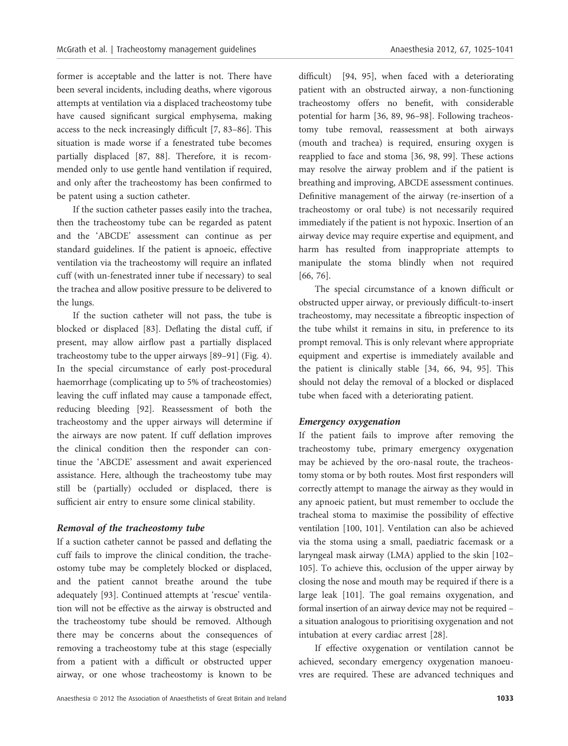former is acceptable and the latter is not. There have been several incidents, including deaths, where vigorous attempts at ventilation via a displaced tracheostomy tube have caused significant surgical emphysema, making access to the neck increasingly difficult [7, 83–86]. This situation is made worse if a fenestrated tube becomes partially displaced [87, 88]. Therefore, it is recommended only to use gentle hand ventilation if required, and only after the tracheostomy has been confirmed to be patent using a suction catheter.

If the suction catheter passes easily into the trachea, then the tracheostomy tube can be regarded as patent and the 'ABCDE' assessment can continue as per standard guidelines. If the patient is apnoeic, effective ventilation via the tracheostomy will require an inflated cuff (with un-fenestrated inner tube if necessary) to seal the trachea and allow positive pressure to be delivered to the lungs.

If the suction catheter will not pass, the tube is blocked or displaced [83]. Deflating the distal cuff, if present, may allow airflow past a partially displaced tracheostomy tube to the upper airways [89–91] (Fig. 4). In the special circumstance of early post-procedural haemorrhage (complicating up to 5% of tracheostomies) leaving the cuff inflated may cause a tamponade effect, reducing bleeding [92]. Reassessment of both the tracheostomy and the upper airways will determine if the airways are now patent. If cuff deflation improves the clinical condition then the responder can continue the 'ABCDE' assessment and await experienced assistance. Here, although the tracheostomy tube may still be (partially) occluded or displaced, there is sufficient air entry to ensure some clinical stability.

#### Removal of the tracheostomy tube

If a suction catheter cannot be passed and deflating the cuff fails to improve the clinical condition, the tracheostomy tube may be completely blocked or displaced, and the patient cannot breathe around the tube adequately [93]. Continued attempts at 'rescue' ventilation will not be effective as the airway is obstructed and the tracheostomy tube should be removed. Although there may be concerns about the consequences of removing a tracheostomy tube at this stage (especially from a patient with a difficult or obstructed upper airway, or one whose tracheostomy is known to be

difficult) [94, 95], when faced with a deteriorating patient with an obstructed airway, a non-functioning tracheostomy offers no benefit, with considerable potential for harm [36, 89, 96–98]. Following tracheostomy tube removal, reassessment at both airways (mouth and trachea) is required, ensuring oxygen is reapplied to face and stoma [36, 98, 99]. These actions may resolve the airway problem and if the patient is breathing and improving, ABCDE assessment continues. Definitive management of the airway (re-insertion of a tracheostomy or oral tube) is not necessarily required immediately if the patient is not hypoxic. Insertion of an airway device may require expertise and equipment, and harm has resulted from inappropriate attempts to manipulate the stoma blindly when not required [66, 76].

The special circumstance of a known difficult or obstructed upper airway, or previously difficult-to-insert tracheostomy, may necessitate a fibreoptic inspection of the tube whilst it remains in situ, in preference to its prompt removal. This is only relevant where appropriate equipment and expertise is immediately available and the patient is clinically stable [34, 66, 94, 95]. This should not delay the removal of a blocked or displaced tube when faced with a deteriorating patient.

#### Emergency oxygenation

If the patient fails to improve after removing the tracheostomy tube, primary emergency oxygenation may be achieved by the oro-nasal route, the tracheostomy stoma or by both routes. Most first responders will correctly attempt to manage the airway as they would in any apnoeic patient, but must remember to occlude the tracheal stoma to maximise the possibility of effective ventilation [100, 101]. Ventilation can also be achieved via the stoma using a small, paediatric facemask or a laryngeal mask airway (LMA) applied to the skin [102– 105]. To achieve this, occlusion of the upper airway by closing the nose and mouth may be required if there is a large leak [101]. The goal remains oxygenation, and formal insertion of an airway device may not be required – a situation analogous to prioritising oxygenation and not intubation at every cardiac arrest [28].

If effective oxygenation or ventilation cannot be achieved, secondary emergency oxygenation manoeuvres are required. These are advanced techniques and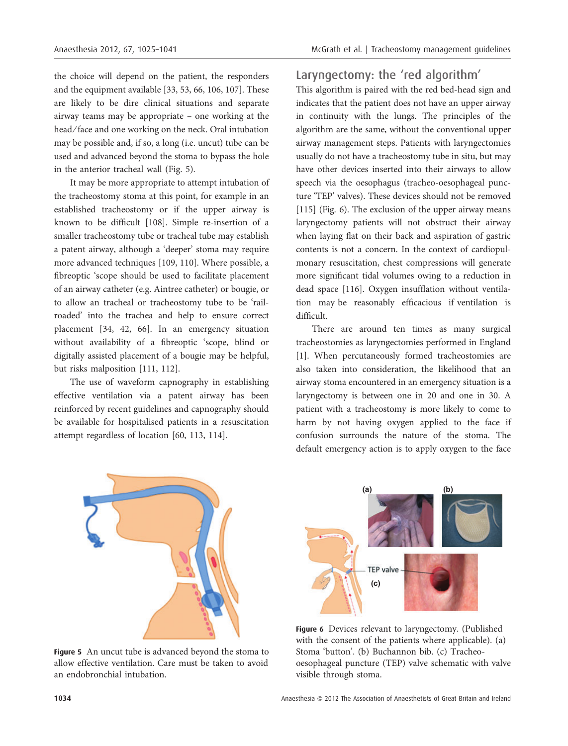the choice will depend on the patient, the responders and the equipment available [33, 53, 66, 106, 107]. These are likely to be dire clinical situations and separate airway teams may be appropriate – one working at the head/face and one working on the neck. Oral intubation may be possible and, if so, a long (i.e. uncut) tube can be used and advanced beyond the stoma to bypass the hole in the anterior tracheal wall (Fig. 5).

It may be more appropriate to attempt intubation of the tracheostomy stoma at this point, for example in an established tracheostomy or if the upper airway is known to be difficult [108]. Simple re-insertion of a smaller tracheostomy tube or tracheal tube may establish a patent airway, although a 'deeper' stoma may require more advanced techniques [109, 110]. Where possible, a fibreoptic 'scope should be used to facilitate placement of an airway catheter (e.g. Aintree catheter) or bougie, or to allow an tracheal or tracheostomy tube to be 'railroaded' into the trachea and help to ensure correct placement [34, 42, 66]. In an emergency situation without availability of a fibreoptic 'scope, blind or digitally assisted placement of a bougie may be helpful, but risks malposition [111, 112].

The use of waveform capnography in establishing effective ventilation via a patent airway has been reinforced by recent guidelines and capnography should be available for hospitalised patients in a resuscitation attempt regardless of location [60, 113, 114].

## Laryngectomy: the 'red algorithm'

This algorithm is paired with the red bed-head sign and indicates that the patient does not have an upper airway in continuity with the lungs. The principles of the algorithm are the same, without the conventional upper airway management steps. Patients with laryngectomies usually do not have a tracheostomy tube in situ, but may have other devices inserted into their airways to allow speech via the oesophagus (tracheo-oesophageal puncture 'TEP' valves). These devices should not be removed [115] (Fig. 6). The exclusion of the upper airway means laryngectomy patients will not obstruct their airway when laying flat on their back and aspiration of gastric contents is not a concern. In the context of cardiopulmonary resuscitation, chest compressions will generate more significant tidal volumes owing to a reduction in dead space [116]. Oxygen insufflation without ventilation may be reasonably efficacious if ventilation is difficult.

There are around ten times as many surgical tracheostomies as laryngectomies performed in England [1]. When percutaneously formed tracheostomies are also taken into consideration, the likelihood that an airway stoma encountered in an emergency situation is a laryngectomy is between one in 20 and one in 30. A patient with a tracheostomy is more likely to come to harm by not having oxygen applied to the face if confusion surrounds the nature of the stoma. The default emergency action is to apply oxygen to the face



Figure 5 An uncut tube is advanced beyond the stoma to allow effective ventilation. Care must be taken to avoid an endobronchial intubation.



Figure 6 Devices relevant to laryngectomy. (Published with the consent of the patients where applicable). (a) Stoma 'button'. (b) Buchannon bib. (c) Tracheooesophageal puncture (TEP) valve schematic with valve visible through stoma.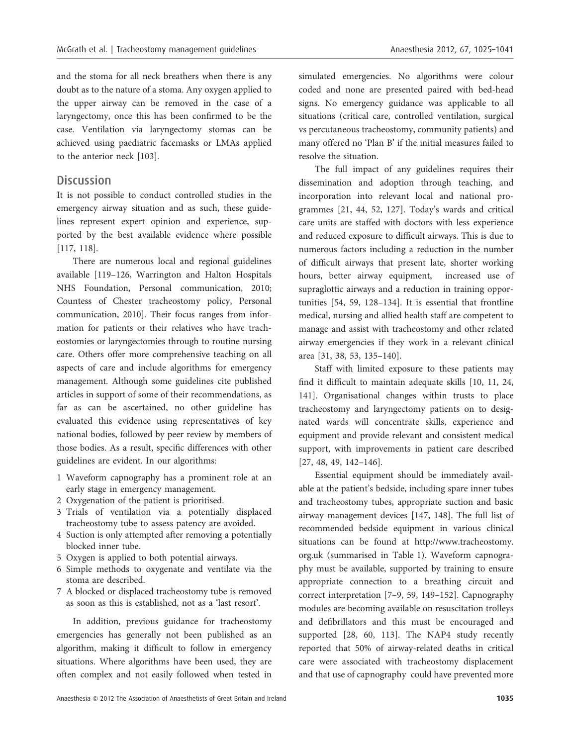and the stoma for all neck breathers when there is any doubt as to the nature of a stoma. Any oxygen applied to the upper airway can be removed in the case of a laryngectomy, once this has been confirmed to be the case. Ventilation via laryngectomy stomas can be achieved using paediatric facemasks or LMAs applied to the anterior neck [103].

## **Discussion**

It is not possible to conduct controlled studies in the emergency airway situation and as such, these guidelines represent expert opinion and experience, supported by the best available evidence where possible [117, 118].

There are numerous local and regional guidelines available [119–126, Warrington and Halton Hospitals NHS Foundation, Personal communication, 2010; Countess of Chester tracheostomy policy, Personal communication, 2010]. Their focus ranges from information for patients or their relatives who have tracheostomies or laryngectomies through to routine nursing care. Others offer more comprehensive teaching on all aspects of care and include algorithms for emergency management. Although some guidelines cite published articles in support of some of their recommendations, as far as can be ascertained, no other guideline has evaluated this evidence using representatives of key national bodies, followed by peer review by members of those bodies. As a result, specific differences with other guidelines are evident. In our algorithms:

- 1 Waveform capnography has a prominent role at an early stage in emergency management.
- 2 Oxygenation of the patient is prioritised.
- 3 Trials of ventilation via a potentially displaced tracheostomy tube to assess patency are avoided.
- 4 Suction is only attempted after removing a potentially blocked inner tube.
- 5 Oxygen is applied to both potential airways.
- 6 Simple methods to oxygenate and ventilate via the stoma are described.
- 7 A blocked or displaced tracheostomy tube is removed as soon as this is established, not as a 'last resort'.

In addition, previous guidance for tracheostomy emergencies has generally not been published as an algorithm, making it difficult to follow in emergency situations. Where algorithms have been used, they are often complex and not easily followed when tested in simulated emergencies. No algorithms were colour coded and none are presented paired with bed-head signs. No emergency guidance was applicable to all situations (critical care, controlled ventilation, surgical vs percutaneous tracheostomy, community patients) and many offered no 'Plan B' if the initial measures failed to resolve the situation.

The full impact of any guidelines requires their dissemination and adoption through teaching, and incorporation into relevant local and national programmes [21, 44, 52, 127]. Today's wards and critical care units are staffed with doctors with less experience and reduced exposure to difficult airways. This is due to numerous factors including a reduction in the number of difficult airways that present late, shorter working hours, better airway equipment, increased use of supraglottic airways and a reduction in training opportunities [54, 59, 128–134]. It is essential that frontline medical, nursing and allied health staff are competent to manage and assist with tracheostomy and other related airway emergencies if they work in a relevant clinical area [31, 38, 53, 135–140].

Staff with limited exposure to these patients may find it difficult to maintain adequate skills [10, 11, 24, 141]. Organisational changes within trusts to place tracheostomy and laryngectomy patients on to designated wards will concentrate skills, experience and equipment and provide relevant and consistent medical support, with improvements in patient care described [27, 48, 49, 142–146].

Essential equipment should be immediately available at the patient's bedside, including spare inner tubes and tracheostomy tubes, appropriate suction and basic airway management devices [147, 148]. The full list of recommended bedside equipment in various clinical situations can be found at http://www.tracheostomy. org.uk (summarised in Table 1). Waveform capnography must be available, supported by training to ensure appropriate connection to a breathing circuit and correct interpretation [7–9, 59, 149–152]. Capnography modules are becoming available on resuscitation trolleys and defibrillators and this must be encouraged and supported [28, 60, 113]. The NAP4 study recently reported that 50% of airway-related deaths in critical care were associated with tracheostomy displacement and that use of capnography could have prevented more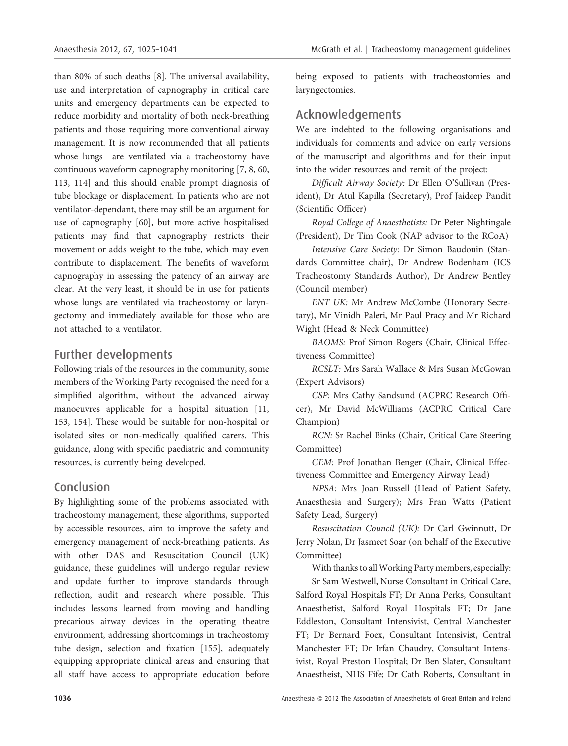than 80% of such deaths [8]. The universal availability, use and interpretation of capnography in critical care units and emergency departments can be expected to reduce morbidity and mortality of both neck-breathing patients and those requiring more conventional airway management. It is now recommended that all patients whose lungs are ventilated via a tracheostomy have continuous waveform capnography monitoring [7, 8, 60, 113, 114] and this should enable prompt diagnosis of tube blockage or displacement. In patients who are not ventilator-dependant, there may still be an argument for use of capnography [60], but more active hospitalised patients may find that capnography restricts their movement or adds weight to the tube, which may even contribute to displacement. The benefits of waveform capnography in assessing the patency of an airway are clear. At the very least, it should be in use for patients whose lungs are ventilated via tracheostomy or laryngectomy and immediately available for those who are not attached to a ventilator.

## Further developments

Following trials of the resources in the community, some members of the Working Party recognised the need for a simplified algorithm, without the advanced airway manoeuvres applicable for a hospital situation [11, 153, 154]. These would be suitable for non-hospital or isolated sites or non-medically qualified carers. This guidance, along with specific paediatric and community resources, is currently being developed.

## Conclusion

By highlighting some of the problems associated with tracheostomy management, these algorithms, supported by accessible resources, aim to improve the safety and emergency management of neck-breathing patients. As with other DAS and Resuscitation Council (UK) guidance, these guidelines will undergo regular review and update further to improve standards through reflection, audit and research where possible. This includes lessons learned from moving and handling precarious airway devices in the operating theatre environment, addressing shortcomings in tracheostomy tube design, selection and fixation [155], adequately equipping appropriate clinical areas and ensuring that all staff have access to appropriate education before

being exposed to patients with tracheostomies and laryngectomies.

## Acknowledgements

We are indebted to the following organisations and individuals for comments and advice on early versions of the manuscript and algorithms and for their input into the wider resources and remit of the project:

Difficult Airway Society: Dr Ellen O'Sullivan (President), Dr Atul Kapilla (Secretary), Prof Jaideep Pandit (Scientific Officer)

Royal College of Anaesthetists: Dr Peter Nightingale (President), Dr Tim Cook (NAP advisor to the RCoA)

Intensive Care Society: Dr Simon Baudouin (Standards Committee chair), Dr Andrew Bodenham (ICS Tracheostomy Standards Author), Dr Andrew Bentley (Council member)

ENT UK: Mr Andrew McCombe (Honorary Secretary), Mr Vinidh Paleri, Mr Paul Pracy and Mr Richard Wight (Head & Neck Committee)

BAOMS: Prof Simon Rogers (Chair, Clinical Effectiveness Committee)

RCSLT: Mrs Sarah Wallace & Mrs Susan McGowan (Expert Advisors)

CSP: Mrs Cathy Sandsund (ACPRC Research Officer), Mr David McWilliams (ACPRC Critical Care Champion)

RCN: Sr Rachel Binks (Chair, Critical Care Steering Committee)

CEM: Prof Jonathan Benger (Chair, Clinical Effectiveness Committee and Emergency Airway Lead)

NPSA: Mrs Joan Russell (Head of Patient Safety, Anaesthesia and Surgery); Mrs Fran Watts (Patient Safety Lead, Surgery)

Resuscitation Council (UK): Dr Carl Gwinnutt, Dr Jerry Nolan, Dr Jasmeet Soar (on behalf of the Executive Committee)

With thanks to all Working Party members, especially:

Sr Sam Westwell, Nurse Consultant in Critical Care, Salford Royal Hospitals FT; Dr Anna Perks, Consultant Anaesthetist, Salford Royal Hospitals FT; Dr Jane Eddleston, Consultant Intensivist, Central Manchester FT; Dr Bernard Foex, Consultant Intensivist, Central Manchester FT; Dr Irfan Chaudry, Consultant Intensivist, Royal Preston Hospital; Dr Ben Slater, Consultant Anaestheist, NHS Fife; Dr Cath Roberts, Consultant in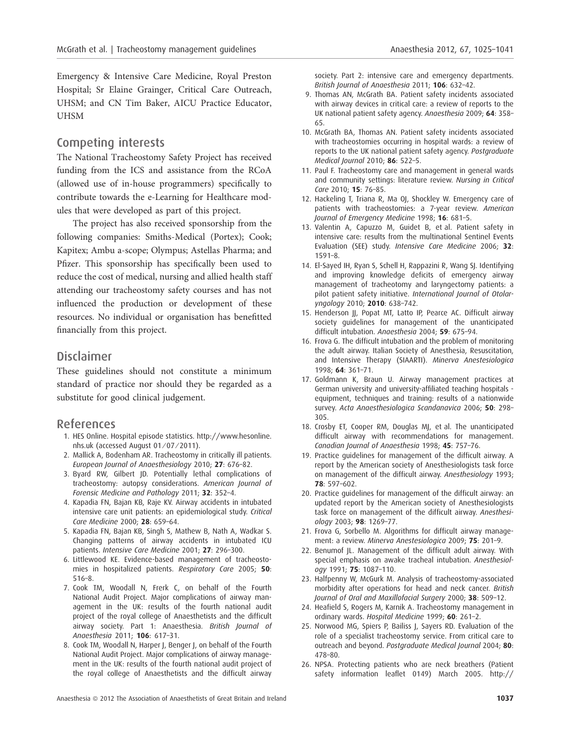Emergency & Intensive Care Medicine, Royal Preston Hospital; Sr Elaine Grainger, Critical Care Outreach, UHSM; and CN Tim Baker, AICU Practice Educator, UHSM

#### Competing interests

The National Tracheostomy Safety Project has received funding from the ICS and assistance from the RCoA (allowed use of in-house programmers) specifically to contribute towards the e-Learning for Healthcare modules that were developed as part of this project.

The project has also received sponsorship from the following companies: Smiths-Medical (Portex); Cook; Kapitex; Ambu a-scope; Olympus; Astellas Pharma; and Pfizer. This sponsorship has specifically been used to reduce the cost of medical, nursing and allied health staff attending our tracheostomy safety courses and has not influenced the production or development of these resources. No individual or organisation has benefitted financially from this project.

## Disclaimer

These guidelines should not constitute a minimum standard of practice nor should they be regarded as a substitute for good clinical judgement.

#### References

- 1. HES Online. Hospital episode statistics. http://www.hesonline. nhs.uk (accessed August 01 ⁄ 07 ⁄ 2011).
- 2. Mallick A, Bodenham AR. Tracheostomy in critically ill patients. European Journal of Anaesthesiology 2010; 27: 676–82.
- 3. Byard RW, Gilbert JD. Potentially lethal complications of tracheostomy: autopsy considerations. American Journal of Forensic Medicine and Pathology 2011; 32: 352–4.
- 4. Kapadia FN, Bajan KB, Raje KV. Airway accidents in intubated intensive care unit patients: an epidemiological study. Critical Care Medicine 2000; 28: 659–64.
- 5. Kapadia FN, Bajan KB, Singh S, Mathew B, Nath A, Wadkar S. Changing patterns of airway accidents in intubated ICU patients. Intensive Care Medicine 2001; 27: 296–300.
- 6. Littlewood KE. Evidence-based management of tracheostomies in hospitalized patients. Respiratory Care 2005; 50: 516–8.
- 7. Cook TM, Woodall N, Frerk C, on behalf of the Fourth National Audit Project. Major complications of airway management in the UK: results of the fourth national audit project of the royal college of Anaesthetists and the difficult airway society. Part 1: Anaesthesia. British Journal of Anaesthesia 2011; 106: 617–31.
- 8. Cook TM, Woodall N, Harper J, Benger J, on behalf of the Fourth National Audit Project. Major complications of airway management in the UK: results of the fourth national audit project of the royal college of Anaesthetists and the difficult airway

society. Part 2: intensive care and emergency departments. British Journal of Anaesthesia 2011; 106: 632–42.

- 9. Thomas AN, McGrath BA. Patient safety incidents associated with airway devices in critical care: a review of reports to the UK national patient safety agency. Anaesthesia 2009; 64: 358– 65.
- 10. McGrath BA, Thomas AN. Patient safety incidents associated with tracheostomies occurring in hospital wards: a review of reports to the UK national patient safety agency. Postgraduate Medical Journal 2010; 86: 522–5.
- 11. Paul F. Tracheostomy care and management in general wards and community settings: literature review. Nursing in Critical Care 2010; 15: 76–85.
- 12. Hackeling T, Triana R, Ma OJ, Shockley W. Emergency care of patients with tracheostomies: a 7-year review. American Journal of Emergency Medicine 1998; 16: 681–5.
- 13. Valentin A, Capuzzo M, Guidet B, et al. Patient safety in intensive care: results from the multinational Sentinel Events Evaluation (SEE) study. Intensive Care Medicine 2006: 32: 1591–8.
- 14. El-Sayed IH, Ryan S, Schell H, Rappazini R, Wang SJ. Identifying and improving knowledge deficits of emergency airway management of tracheotomy and laryngectomy patients: a pilot patient safety initiative. International Journal of Otolaryngology 2010; 2010: 638–742.
- 15. Henderson JJ, Popat MT, Latto IP, Pearce AC. Difficult airway society guidelines for management of the unanticipated difficult intubation. Anaesthesia 2004: 59: 675-94.
- 16. Frova G. The difficult intubation and the problem of monitoring the adult airway. Italian Society of Anesthesia, Resuscitation, and Intensive Therapy (SIAARTI). Minerva Anestesiologica 1998; 64: 361–71.
- 17. Goldmann K, Braun U. Airway management practices at German university and university-affiliated teaching hospitals equipment, techniques and training: results of a nationwide survey. Acta Anaesthesiologica Scandanavica 2006; 50: 298– 305.
- 18. Crosby ET, Cooper RM, Douglas MJ, et al. The unanticipated difficult airway with recommendations for management. Canadian Journal of Anaesthesia 1998; 45: 757–76.
- 19. Practice guidelines for management of the difficult airway. A report by the American society of Anesthesiologists task force on management of the difficult airway. Anesthesiology 1993; 78: 597–602.
- 20. Practice guidelines for management of the difficult airway: an updated report by the American society of Anesthesiologists task force on management of the difficult airway. Anesthesiology 2003; 98: 1269–77.
- 21. Frova G, Sorbello M. Algorithms for difficult airway management: a review. Minerva Anestesiologica 2009; 75: 201–9.
- 22. Benumof JL. Management of the difficult adult airway. With special emphasis on awake tracheal intubation. Anesthesiology 1991; 75: 1087–110.
- 23. Halfpenny W, McGurk M. Analysis of tracheostomy-associated morbidity after operations for head and neck cancer. British Journal of Oral and Maxillofacial Surgery 2000; 38: 509–12.
- 24. Heafield S, Rogers M, Karnik A. Tracheostomy management in ordinary wards. Hospital Medicine 1999; 60: 261–2.
- 25. Norwood MG, Spiers P, Bailiss J, Sayers RD. Evaluation of the role of a specialist tracheostomy service. From critical care to outreach and beyond. Postgraduate Medical Journal 2004; 80: 478–80.
- 26. NPSA. Protecting patients who are neck breathers (Patient safety information leaflet 0149) March 2005. http://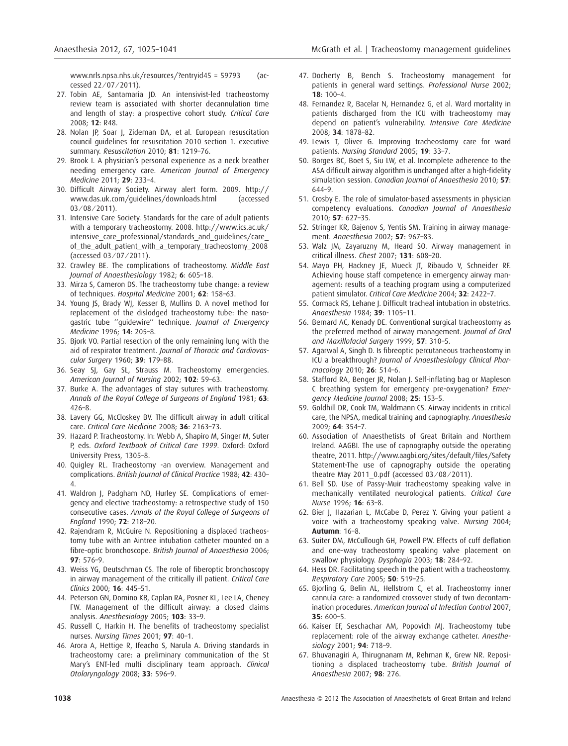www.nrls.npsa.nhs.uk/resources/?entryid45 = 59793 (accessed 22 ⁄ 07 ⁄ 2011).

- 27. Tobin AE, Santamaria JD. An intensivist-led tracheostomy review team is associated with shorter decannulation time and length of stay: a prospective cohort study. Critical Care 2008; 12: R48.
- 28. Nolan JP, Soar J, Zideman DA, et al. European resuscitation council guidelines for resuscitation 2010 section 1. executive summary. Resuscitation 2010; 81: 1219-76.
- 29. Brook I. A physician's personal experience as a neck breather needing emergency care. American Journal of Emergency Medicine 2011; 29: 233–4.
- 30. Difficult Airway Society. Airway alert form. 2009. http:// www.das.uk.com/guidelines/downloads.html (accessed 03 ⁄ 08 ⁄ 2011).
- 31. Intensive Care Society. Standards for the care of adult patients with a temporary tracheostomy. 2008. http://www.ics.ac.uk/ intensive\_care\_professional/standards\_and\_quidelines/care of the adult patient with a temporary tracheostomy 2008 (accessed 03 ⁄ 07 ⁄ 2011).
- 32. Crawley BE. The complications of tracheostomy. Middle East Journal of Anaesthesiology 1982; 6: 605–18.
- 33. Mirza S, Cameron DS. The tracheostomy tube change: a review of techniques. Hospital Medicine 2001; 62: 158–63.
- 34. Young JS, Brady WJ, Kesser B, Mullins D. A novel method for replacement of the dislodged tracheostomy tube: the nasogastric tube ''guidewire'' technique. Journal of Emergency Medicine 1996; 14: 205–8.
- 35. Bjork VO. Partial resection of the only remaining lung with the aid of respirator treatment. Journal of Thoracic and Cardiovascular Surgery 1960; 39: 179-88.
- 36. Seay SJ, Gay SL, Strauss M. Tracheostomy emergencies. American Journal of Nursing 2002; 102: 59–63.
- 37. Burke A. The advantages of stay sutures with tracheostomy. Annals of the Royal College of Surgeons of England 1981; 63: 426–8.
- 38. Lavery GG, McCloskey BV. The difficult airway in adult critical care. Critical Care Medicine 2008; 36: 2163–73.
- 39. Hazard P. Tracheostomy. In: Webb A, Shapiro M, Singer M, Suter P, eds. Oxford Textbook of Critical Care 1999. Oxford: Oxford University Press, 1305–8.
- 40. Quigley RL. Tracheostomy -an overview. Management and complications. British Journal of Clinical Practice 1988; 42: 430– 4.
- 41. Waldron J, Padgham ND, Hurley SE. Complications of emergency and elective tracheostomy: a retrospective study of 150 consecutive cases. Annals of the Royal College of Surgeons of England 1990; 72: 218–20.
- 42. Rajendram R, McGuire N. Repositioning a displaced tracheostomy tube with an Aintree intubation catheter mounted on a fibre-optic bronchoscope. British Journal of Anaesthesia 2006; 97: 576–9.
- 43. Weiss YG, Deutschman CS. The role of fiberoptic bronchoscopy in airway management of the critically ill patient. Critical Care Clinics 2000; 16: 445–51.
- 44. Peterson GN, Domino KB, Caplan RA, Posner KL, Lee LA, Cheney FW. Management of the difficult airway: a closed claims analysis. Anesthesiology 2005; 103: 33-9.
- 45. Russell C, Harkin H. The benefits of tracheostomy specialist nurses. Nursing Times 2001; 97: 40–1.
- 46. Arora A, Hettige R, Ifeacho S, Narula A. Driving standards in tracheostomy care: a preliminary communication of the St Mary's ENT-led multi disciplinary team approach. Clinical Otolaryngology 2008; 33: 596-9.
- 47. Docherty B, Bench S. Tracheostomy management for patients in general ward settings. Professional Nurse 2002; 18: 100–4.
- 48. Fernandez R, Bacelar N, Hernandez G, et al. Ward mortality in patients discharged from the ICU with tracheostomy may depend on patient's vulnerability. Intensive Care Medicine 2008; 34: 1878–82.
- 49. Lewis T, Oliver G. Improving tracheostomy care for ward patients. Nursing Standard 2005; 19: 33-7.
- 50. Borges BC, Boet S, Siu LW, et al. Incomplete adherence to the ASA difficult airway algorithm is unchanged after a high-fidelity simulation session. Canadian Journal of Anaesthesia 2010; 57: 644–9.
- 51. Crosby E. The role of simulator-based assessments in physician competency evaluations. Canadian Journal of Anaesthesia 2010; 57: 627–35.
- 52. Stringer KR, Bajenov S, Yentis SM. Training in airway management. Anaesthesia 2002; 57: 967–83.
- 53. Walz JM, Zayaruzny M, Heard SO. Airway management in critical illness. Chest 2007; 131: 608–20.
- 54. Mayo PH, Hackney JE, Mueck JT, Ribaudo V, Schneider RF. Achieving house staff competence in emergency airway management: results of a teaching program using a computerized patient simulator. Critical Care Medicine 2004; 32: 2422–7.
- 55. Cormack RS, Lehane J. Difficult tracheal intubation in obstetrics. Anaesthesia 1984; 39: 1105-11.
- 56. Bernard AC, Kenady DE. Conventional surgical tracheostomy as the preferred method of airway management. Journal of Oral and Maxillofacial Surgery 1999: 57: 310-5.
- 57. Agarwal A, Singh D. Is fibreoptic percutaneous tracheostomy in ICU a breakthrough? Journal of Anaesthesiology Clinical Pharmacology 2010; 26: 514–6.
- 58. Stafford RA, Benger JR, Nolan J. Self-inflating bag or Mapleson C breathing system for emergency pre-oxygenation? Emergency Medicine Journal 2008; 25: 153–5.
- 59. Goldhill DR, Cook TM, Waldmann CS. Airway incidents in critical care, the NPSA, medical training and capnography. Anaesthesia 2009; 64: 354–7.
- 60. Association of Anaesthetists of Great Britain and Northern Ireland. AAGBI. The use of capnography outside the operating theatre, 2011. http://www.aagbi.org/sites/default/files/Safety Statement-The use of capnography outside the operating theatre May 2011\_0.pdf (accessed 03 ⁄ 08 ⁄ 2011).
- 61. Bell SD. Use of Passy-Muir tracheostomy speaking valve in mechanically ventilated neurological patients. Critical Care Nurse 1996; 16: 63–8.
- 62. Bier J, Hazarian L, McCabe D, Perez Y. Giving your patient a voice with a tracheostomy speaking valve. Nursing 2004; Autumn: 16–8.
- 63. Suiter DM, McCullough GH, Powell PW. Effects of cuff deflation and one-way tracheostomy speaking valve placement on swallow physiology. Dysphagia 2003; 18: 284–92.
- 64. Hess DR. Facilitating speech in the patient with a tracheostomy. Respiratory Care 2005; 50: 519–25.
- 65. Bjorling G, Belin AL, Hellstrom C, et al. Tracheostomy inner cannula care: a randomized crossover study of two decontamination procedures. American Journal of Infection Control 2007; 35: 600–5.
- 66. Kaiser EF, Seschachar AM, Popovich MJ. Tracheostomy tube replacement: role of the airway exchange catheter. Anesthesiology 2001; 94: 718-9.
- 67. Bhuvanagiri A, Thirugnanam M, Rehman K, Grew NR. Repositioning a displaced tracheostomy tube. British Journal of Anaesthesia 2007; 98: 276.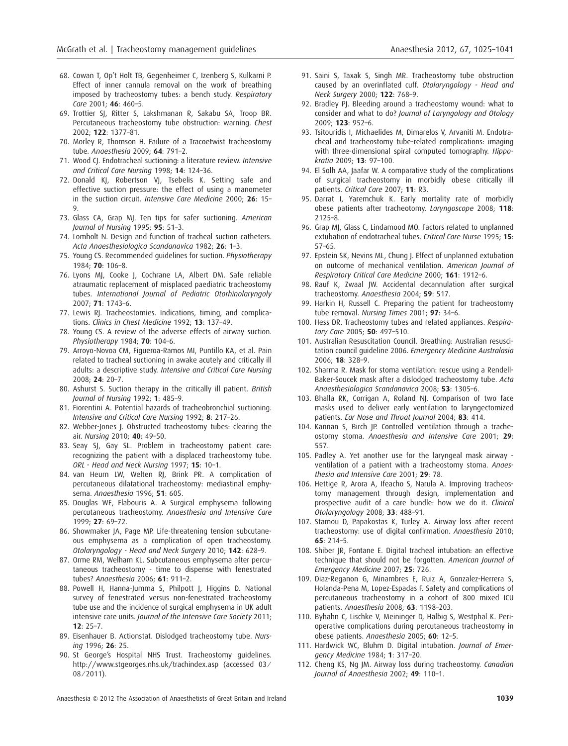- 68. Cowan T, Op't Holt TB, Gegenheimer C, Izenberg S, Kulkarni P. Effect of inner cannula removal on the work of breathing imposed by tracheostomy tubes: a bench study. Respiratory Care 2001; 46: 460-5.
- 69. Trottier SJ, Ritter S, Lakshmanan R, Sakabu SA, Troop BR. Percutaneous tracheostomy tube obstruction: warning. Chest 2002; 122: 1377–81.
- 70. Morley R, Thomson H. Failure of a Tracoetwist tracheostomy tube. Anaesthesia 2009; 64: 791–2.
- 71. Wood CJ. Endotracheal suctioning: a literature review. Intensive and Critical Care Nursing 1998; 14: 124-36.
- 72. Donald KJ, Robertson VJ, Tsebelis K. Setting safe and effective suction pressure: the effect of using a manometer in the suction circuit. Intensive Care Medicine 2000; 26: 15-9.
- 73. Glass CA, Grap MJ. Ten tips for safer suctioning. American Journal of Nursing 1995; 95: 51–3.
- 74. Lomholt N. Design and function of tracheal suction catheters. Acta Anaesthesiologica Scandanavica 1982; 26: 1–3.
- 75. Young CS. Recommended guidelines for suction. Physiotherapy 1984; 70: 106–8.
- 76. Lyons MJ, Cooke J, Cochrane LA, Albert DM. Safe reliable atraumatic replacement of misplaced paediatric tracheostomy tubes. International Journal of Pediatric Otorhinolaryngoly 2007; 71: 1743–6.
- 77. Lewis RJ. Tracheostomies. Indications, timing, and complications. Clinics in Chest Medicine 1992; 13: 137-49.
- 78. Young CS. A review of the adverse effects of airway suction. Physiotherapy 1984; 70: 104-6.
- 79. Arroyo-Novoa CM, Figueroa-Ramos MI, Puntillo KA, et al. Pain related to tracheal suctioning in awake acutely and critically ill adults: a descriptive study. Intensive and Critical Care Nursing 2008; 24: 20–7.
- 80. Ashurst S. Suction therapy in the critically ill patient. British Journal of Nursing 1992; 1: 485–9.
- 81. Fiorentini A. Potential hazards of tracheobronchial suctioning. Intensive and Critical Care Nursing 1992; 8: 217–26.
- 82. Webber-Jones J. Obstructed tracheostomy tubes: clearing the air. Nursing 2010; 40: 49–50.
- 83. Seay SJ, Gay SL. Problem in tracheostomy patient care: recognizing the patient with a displaced tracheostomy tube. ORL - Head and Neck Nursing 1997; 15: 10-1.
- 84. van Heurn LW, Welten RJ, Brink PR. A complication of percutaneous dilatational tracheostomy: mediastinal emphy-.<br>sema. Anaesthesia 1996; **51**: 605.
- 85. Douglas WE, Flabouris A. A Surgical emphysema following percutaneous tracheostomy. Anaesthesia and Intensive Care 1999; 27: 69–72.
- 86. Showmaker JA, Page MP. Life-threatening tension subcutaneous emphysema as a complication of open tracheostomy. Otolaryngology - Head and Neck Surgery 2010; 142: 628–9.
- 87. Orme RM, Welham KL. Subcutaneous emphysema after percutaneous tracheostomy - time to dispense with fenestrated tubes? Anaesthesia 2006; 61: 911–2.
- 88. Powell H, Hanna-Jumma S, Philpott J, Higgins D. National survey of fenestrated versus non-fenestrated tracheostomy tube use and the incidence of surgical emphysema in UK adult intensive care units. Journal of the Intensive Care Society 2011; 12: 25–7.
- 89. Eisenhauer B. Actionstat. Dislodged tracheostomy tube. Nursing 1996; 26: 25.
- 90. St George's Hospital NHS Trust. Tracheostomy guidelines. http://www.stgeorges.nhs.uk/trachindex.asp (accessed 03 ⁄ 08 ⁄ 2011).
- 91. Saini S, Taxak S, Singh MR. Tracheostomy tube obstruction caused by an overinflated cuff. Otolaryngology - Head and Neck Surgery 2000; 122: 768–9.
- 92. Bradley PJ. Bleeding around a tracheostomy wound: what to consider and what to do? Journal of Laryngology and Otology 2009; 123: 952–6.
- 93. Tsitouridis I, Michaelides M, Dimarelos V, Arvaniti M. Endotracheal and tracheostomy tube-related complications: imaging with three-dimensional spiral computed tomography. Hippokratia 2009; 13: 97–100.
- 94. El Solh AA, Jaafar W. A comparative study of the complications of surgical tracheostomy in morbidly obese critically ill patients. Critical Care 2007; 11: R3.
- 95. Darrat I, Yaremchuk K. Early mortality rate of morbidly obese patients after tracheotomy. Laryngoscope 2008; 118: 2125–8.
- 96. Grap MJ, Glass C, Lindamood MO. Factors related to unplanned extubation of endotracheal tubes. Critical Care Nurse 1995; 15: 57–65.
- 97. Epstein SK, Nevins ML, Chung J. Effect of unplanned extubation on outcome of mechanical ventilation. American Journal of Respiratory Critical Care Medicine 2000; 161: 1912–6.
- 98. Rauf K, Zwaal JW. Accidental decannulation after surgical tracheostomy. Anaesthesia 2004; 59: 517.
- 99. Harkin H, Russell C. Preparing the patient for tracheostomy tube removal. Nursing Times 2001; 97: 34-6.
- 100. Hess DR. Tracheostomy tubes and related appliances. Respiratory Care 2005; 50: 497–510.
- 101. Australian Resuscitation Council. Breathing: Australian resuscitation council guideline 2006. Emergency Medicine Australasia 2006; 18: 328–9.
- 102. Sharma R. Mask for stoma ventilation: rescue using a Rendell-Baker-Soucek mask after a dislodged tracheostomy tube. Acta Anaesthesiologica Scandanavica 2008; 53: 1305–6.
- 103. Bhalla RK, Corrigan A, Roland NJ. Comparison of two face masks used to deliver early ventilation to laryngectomized patients. Ear Nose and Throat Journal 2004; 83: 414.
- 104. Kannan S, Birch JP. Controlled ventilation through a tracheostomy stoma. Anaesthesia and Intensive Care 2001; 29: 557.
- 105. Padley A. Yet another use for the laryngeal mask airway ventilation of a patient with a tracheostomy stoma. Anaesthesia and Intensive Care 2001; 29: 78.
- 106. Hettige R, Arora A, Ifeacho S, Narula A. Improving tracheostomy management through design, implementation and prospective audit of a care bundle: how we do it. Clinical Otolaryngology 2008; 33: 488–91.
- 107. Stamou D, Papakostas K, Turley A. Airway loss after recent tracheostomy: use of digital confirmation. Anaesthesia 2010; 65: 214–5.
- 108. Shiber JR, Fontane E. Digital tracheal intubation: an effective technique that should not be forgotten. American Journal of Emergency Medicine 2007; 25: 726.
- 109. Diaz-Reganon G, Minambres E, Ruiz A, Gonzalez-Herrera S, Holanda-Pena M, Lopez-Espadas F. Safety and complications of percutaneous tracheostomy in a cohort of 800 mixed ICU patients. Anaesthesia 2008; 63: 1198–203.
- 110. Byhahn C, Lischke V, Meininger D, Halbig S, Westphal K. Perioperative complications during percutaneous tracheostomy in obese patients. Anaesthesia 2005; 60: 12–5.
- 111. Hardwick WC, Bluhm D. Digital intubation. Journal of Emergency Medicine 1984; 1: 317–20.
- 112. Cheng KS, Ng JM. Airway loss during tracheostomy. Canadian Journal of Anaesthesia 2002; 49: 110–1.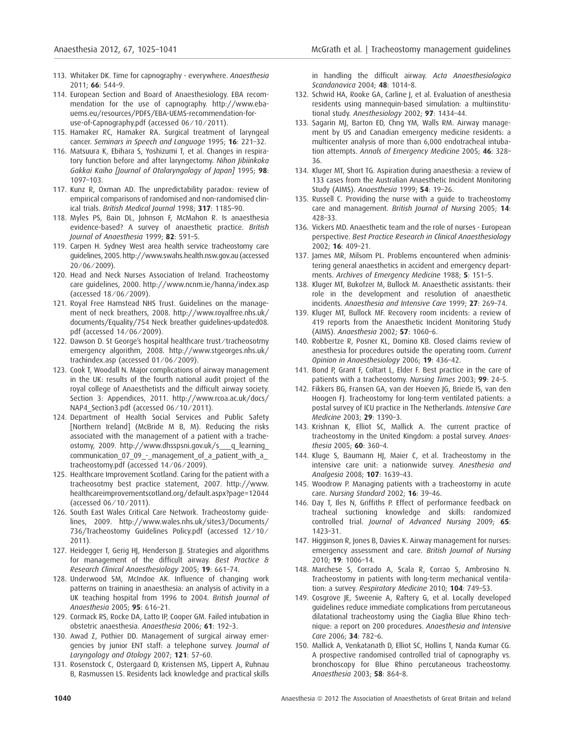- 113. Whitaker DK. Time for capnography everywhere. Anaesthesia 2011; 66: 544–9.
- 114. European Section and Board of Anaesthesiology. EBA recommendation for the use of capnography. http://www.ebauems.eu/resources/PDFS/EBA-UEMS-recommendation-foruse-of-Capnography.pdf (accessed 06 ⁄ 10 ⁄ 2011).
- 115. Hamaker RC, Hamaker RA. Surgical treatment of laryngeal cancer. Seminars in Speech and Language 1995; 16: 221–32.
- 116. Matsuura K, Ebihara S, Yoshizumi T, et al. Changes in respiratory function before and after laryngectomy. Nihon Jibiinkoka Gakkai Kaiho [Journal of Otolaryngology of Japan] 1995; 98: 1097–103.
- 117. Kunz R, Oxman AD. The unpredictability paradox: review of empirical comparisons of randomised and non-randomised clinical trials. British Medical Journal 1998: 317: 1185-90.
- 118. Myles PS, Bain DL, Johnson F, McMahon R. Is anaesthesia evidence-based? A survey of anaesthetic practice. British Journal of Anaesthesia 1999; 82: 591–5.
- 119. Carpen H. Sydney West area health service tracheostomy care guidelines, 2005. http://www.swahs.health.nsw.gov.au (accessed 20 ⁄ 06 ⁄ 2009).
- 120. Head and Neck Nurses Association of Ireland. Tracheostomy care guidelines, 2000. http://www.ncnm.ie/hanna/index.asp (accessed 18 ⁄ 06 ⁄ 2009).
- 121. Royal Free Hamstead NHS Trust. Guidelines on the management of neck breathers, 2008. http://www.royalfree.nhs.uk/ documents/Equality/754 Neck breather guidelines-updated08. pdf (accessed 14 ⁄ 06 ⁄ 2009).
- 122. Dawson D. St George's hospital healthcare trust ⁄ tracheosotmy emergency algorithm, 2008. http://www.stgeorges.nhs.uk/ trachindex.asp (accessed 01 ⁄ 06 ⁄ 2009).
- 123. Cook T, Woodall N. Major complications of airway management in the UK: results of the fourth national audit project of the royal college of Anaesthetists and the difficult airway society. Section 3: Appendices, 2011. http://www.rcoa.ac.uk/docs/ NAP4\_Section3.pdf (accessed 06/10/2011).
- 124. Department of Health Social Services and Public Safety [Northern Ireland] (McBride M B, M). Reducing the risks associated with the management of a patient with a tracheostomy, 2009. http://www.dhsspsni.gov.uk/s\_\_\_q\_learning\_ communication 07 09 - management of a patient with a tracheostomy.pdf (accessed 14 ⁄ 06 ⁄ 2009).
- 125. Healthcare Improvement Scotland. Caring for the patient with a tracheosotmy best practice statement, 2007. http://www. healthcareimprovementscotland.org/default.aspx?page=12044 (accessed 06 ⁄ 10 ⁄ 2011).
- 126. South East Wales Critical Care Network. Tracheostomy guidelines, 2009. http://www.wales.nhs.uk/sites3/Documents/ 736/Tracheostomy Guidelines Policy.pdf (accessed 12 ⁄ 10 ⁄ 2011).
- 127. Heidegger T, Gerig HJ, Henderson JJ. Strategies and algorithms for management of the difficult airway. Best Practice & Research Clinical Anaesthesiology 2005; 19: 661–74.
- 128. Underwood SM, McIndoe AK. Influence of changing work patterns on training in anaesthesia: an analysis of activity in a UK teaching hospital from 1996 to 2004. British Journal of Anaesthesia 2005; 95: 616–21.
- 129. Cormack RS, Rocke DA, Latto IP, Cooper GM. Failed intubation in obstetric anaesthesia. Anaesthesia 2006; 61: 192–3.
- 130. Awad Z, Pothier DD. Management of surgical airway emergencies by junior ENT staff: a telephone survey. Journal of Laryngology and Otology 2007; 121: 57–60.
- 131. Rosenstock C, Ostergaard D, Kristensen MS, Lippert A, Ruhnau B, Rasmussen LS. Residents lack knowledge and practical skills

in handling the difficult airway. Acta Anaesthesiologica Scandanavica 2004; 48: 1014–8.

- 132. Schwid HA, Rooke GA, Carline J, et al. Evaluation of anesthesia residents using mannequin-based simulation: a multiinstitutional study. Anesthesiology 2002; 97: 1434-44.
- 133. Sagarin MJ, Barton ED, Chng YM, Walls RM. Airway management by US and Canadian emergency medicine residents: a multicenter analysis of more than 6,000 endotracheal intubation attempts. Annals of Emergency Medicine 2005; 46: 328– 36.
- 134. Kluger MT, Short TG. Aspiration during anaesthesia: a review of 133 cases from the Australian Anaesthetic Incident Monitoring Study (AIMS). Anaesthesia 1999; 54: 19-26.
- 135. Russell C. Providing the nurse with a guide to tracheostomy care and management. British Journal of Nursing 2005; 14: 428–33.
- 136. Vickers MD. Anaesthetic team and the role of nurses European perspective. Best Practice Research in Clinical Anaesthesiology 2002; 16: 409–21.
- 137. James MR, Milsom PL. Problems encountered when administering general anaesthetics in accident and emergency departments. Archives of Emergency Medicine 1988: 5: 151-5.
- 138. Kluger MT, Bukofzer M, Bullock M. Anaesthetic assistants: their role in the development and resolution of anaesthetic incidents. Anaesthesia and Intensive Care 1999; 27: 269–74.
- 139. Kluger MT, Bullock MF. Recovery room incidents: a review of 419 reports from the Anaesthetic Incident Monitoring Study (AIMS). Anaesthesia 2002; 57: 1060–6.
- 140. Robbertze R, Posner KL, Domino KB. Closed claims review of anesthesia for procedures outside the operating room. Current Opinion in Anaesthesiology 2006; 19: 436–42.
- 141. Bond P, Grant F, Coltart L, Elder F. Best practice in the care of patients with a tracheostomy. Nursing Times 2003; 99: 24–5.
- 142. Fikkers BG, Fransen GA, van der Hoeven JG, Briede IS, van den Hoogen FJ. Tracheostomy for long-term ventilated patients: a postal survey of ICU practice in The Netherlands. Intensive Care Medicine 2003; 29: 1390–3.
- 143. Krishnan K, Elliot SC, Mallick A. The current practice of tracheostomy in the United Kingdom: a postal survey. Anaesthesia 2005; 60: 360–4.
- 144. Kluge S, Baumann HJ, Maier C, et al. Tracheostomy in the intensive care unit: a nationwide survey. Anesthesia and Analgesia 2008; 107: 1639–43.
- 145. Woodrow P. Managing patients with a tracheostomy in acute care. Nursing Standard 2002; 16: 39–46.
- 146. Day T, Iles N, Griffiths P. Effect of performance feedback on tracheal suctioning knowledge and skills: randomized controlled trial. Journal of Advanced Nursing 2009; 65: 1423–31.
- 147. Higginson R, Jones B, Davies K. Airway management for nurses: emergency assessment and care. British Journal of Nursing 2010; 19: 1006–14.
- 148. Marchese S, Corrado A, Scala R, Corrao S, Ambrosino N. Tracheostomy in patients with long-term mechanical ventilation: a survey. Respiratory Medicine 2010; 104: 749-53.
- 149. Cosgrove JE, Sweenie A, Raftery G, et al. Locally developed guidelines reduce immediate complications from percutaneous dilatational tracheostomy using the Ciaglia Blue Rhino technique: a report on 200 procedures. Anaesthesia and Intensive Care 2006; 34: 782–6.
- 150. Mallick A, Venkatanath D, Elliot SC, Hollins T, Nanda Kumar CG. A prospective randomised controlled trial of capnography vs. bronchoscopy for Blue Rhino percutaneous tracheostomy. Anaesthesia 2003; 58: 864–8.